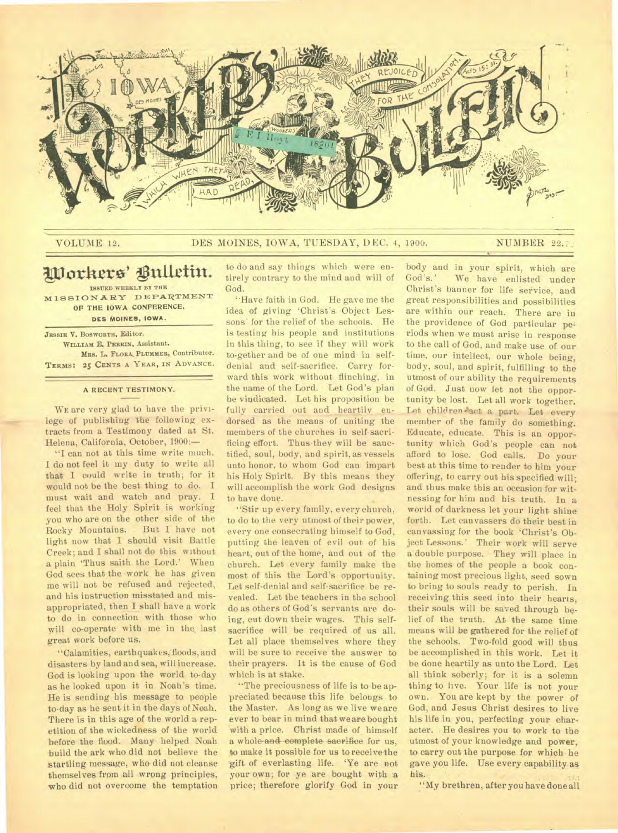

## VOLUME 12. DES MOINES, IOWA, TUESDAY, DEC. 4, 1900. NUMBER 22.

## Workers' Bulletin. **ISSUED WEEKLY BY THE**

**MISSIONARY DEPARTMENT OF THE IOWA CONFERENCE, DES MOINES, IOWA.** 

**JESSIE** V. **BOSWORTH,** Editor. WILLIAM E. PERRIN. Assistant. Mss. L. **FLORA, PLUMMER,** Contributor. **TERMS: 25 CENTS A YEAR, IN ADVANCE.** 

#### **A RECENT TESTIMONY.**

WE are very glad to have the privilege of publishing the following extracts from a Testimony dated at St. Helena, California, October, 1900:—

"I can not at this time write much. I do not feel it my duty to write all that I could write in truth; for it would not be the best thing to do. I must wait and watch and pray. I feel that the Holy Spirit is working you who are on the other side of the Rocky Mountains. But I have not Rocky Mountains. light now that I should visit Battle Creek; and I shall not do this without a plain 'Thus saith the Lord.' When God sees that the work he has given me will not be refused and rejected, and his instruction misstated and misappropriated, then I shall have a work to do in connection with those who will co-operate with me in the last great work before us.

"Calamities, earthquakes, floods, and disasters by land and sea, will increase. God is looking upon the world to-day as he looked upon it in Noah's time. He is sending his message to people to-day as he sent it in the days of Noah. There is in this age of the world a repetition of the wickedness of the world before the flood. Many helped Noah build the ark who did not believe the startling message, who did not cleanse themselves from all wrong principles, who did not overcome the temptation

to do and say things which were entirely contrary to the mind and will of God.

"Have faith in God. He gave me the idea of giving 'Christ's Object Lessons' for the relief of the schools. He is testing his people and institutions in this thing, to see if they will work to-gether and be of one mind in selfdenial and self-sacrifice. Carry forward this work without flinching, in the name of the Lord. Let God's plan be vindicated. Let his proposition be fully carried out and heartily endorsed as the means of uniting the members of the churches in self-sacrificing effort. Thus they will be sanctified, soul, body, and spirit, as vessels unto honor, to whom God can impart his Holy Spirit. By this means they will accomplish the work God designs to have done.

"Stir up every family, every church. to do to the very utmost of their power, every one consecrating himself to God, putting the leaven of evil out of his heart, out of the home, and out of the church. Let every family make the most of this the Lord's opportunity. Let self-denial and self-sacrifice be revealed. Let the teachers in the school do as others of God's servants are doing, cut down their wages. This selfsacrifice will be required of us all. Let all place themselves where they will be sure to receive the answer to their prayers. It is the cause of God which is at stake.

"The preciousness of life is to be appreciated because this life belongs to the Master. As long as we live we are ever to bear in mind that we are bought with a price. Christ made of himself a whole-and-complete sacrifice for us, to make it possible for us to receive-the gift of everlasting life. 'Ye are not your own; for ye are bought with a price; therefore glorify God in your body and in your spirit, which are<br>God's.' We have enlisted under We have enlisted under Christ's banner for life service, and great responsibilities and possibilities are within our reach. There are in the providence of God particular periods when we must arise in response to the call of God, and make use of our time, our intellect, our whole being, body, soul, and spirit, fulfilling to the utmost of our ability the requirements of God. Just now let not the opportunity be lost. Let all work together. Let children act a part. Let every member of the family do something. Educate, educate. This is an opportunity which God's people can not afford to lose. God calls. Do your best at this time to render to him your offering, to carry out his specified will; and thus make this an occasion for witnessing for him and his truth. In a world of darkness let your light shine forth. Let canvassers do their best in canvassing for the book 'Christ's Object Lessons.' Their work will serve a double purpose. They will place in the homes of the people a book containing most precious light, seed sown to bring to souls ready to perish. In receiving this seed into their hearts, their souls will be saved through belief of the truth. At the same time means will be gathered for the relief of the schools. Two-fold good will thus be accomplished in this work. Let it be done heartily as unto the Lord. Let all think soberly; for it is a solemn thing to live. Your life is not your own. You are kept by the power of God, and Jesus Christ desires to live his life in you, perfecting your charaeter. He desires you to work to the utmost of your knowledge and power, to carry out the purpose for which he gave you life. Use every capability as his.

"My brethren, after you have done all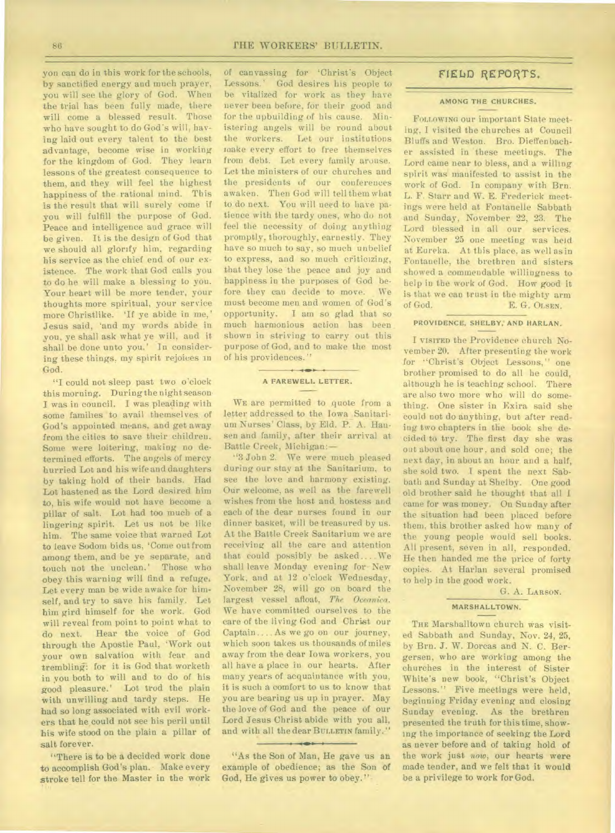yon can do in this work for the schools, by sanctified energy and much prayer, you will see the glory of God. When the trial has been fully made, there will come a blessed result. Those who have sought to do God's will, having laid out every talent to the best advantage, become wise in working for the kingdom of God. They learn lessons of the greatest consequence to them, and they will feel the highest happiness of the rational mind. This is the result that will surely come if you will fulfill the purpose of God. Peace and intelligence and grace will be given. It is the design of God that we should all glorify him, regarding his service as the chief end of our existence. The work that God calls you to do he will make a blessing to you. Your heart will be more tender, your thoughts more spiritual, your service more Christlike. 'If ye abide in me,' Jesus said, 'and my words abide in you, ye shall ask what ye will, and it. shall be done unto you.' In considering these things. myspirit rejoices in God.

"I could not sleep past two o'clock this morning. During the night season I was in council. I was pleading with some families to avail themselves of God's appointed means, and get away from the cities to save their children. Some were loitering, making no determined efforts. The angels of mercy hurried Lot and his wife and daughters by taking hold of their hands. Had Lot hastened as the Lord desired him to, his wife would not have become a pillar of salt. Lot had too much of a lingering spirit. Let us not be like him. The same voice that warned Lot to leave Sodom bids us, 'Come out from among them, and be ye separate, and touch not the unclean.' Those who obey this warning will find a refuge. Let every man be wide awake for himself, and try to save his family. Let him gird himself for the work. God will reveal from point to point what to do next. Hear the voice of God through the Apostle Paul, 'Work out your own salvation with fear and trembling: for it is God that worketh in you both to will and to do of his good pleasure.' Lot trod the plain with unwilling and tardy steps. He had so long associated with evil workers that he could not see his peril until his wife stood on the plain a pillar of salt forever.

"There is to be a decided work done to accomplish God's plan. Make every stroke tell for the Master in the work of canvassing for 'Christ's Object Lessons.' God desires his people to be vitalized for work as they have never been before, for their good and for the upbuilding of his cause. Ministering angels will be round about the workers. Let our institutions make every effort to free themselves from debt. Let every family arouse. Let the ministers of our churches and the presidents of our conferences awaken. Then God will tell them what to do next. You will need to have patience with the tardy ones, who do not feel the necessity of doing anything promptly, thoroughly, earnestly. They have so much to say, so much unbelief to express, and so much criticizing, that they lose the peace and joy and happiness in the purposes of God before they can decide to move. We must become men and women of God's opportunity. I am so glad that so much harmonious action has been shown in striving to carry out this purpose of God, and to make the most of his providences."

#### **A FAREWELL LETTER.**

WE are permitted to quote from a letter addressed to the Iowa Sanitarium Nurses' Class, by Eld. P. A. Hansen and family, after their arrival at Battle Creek, Michigan:—

"3 John 2. We were much pleased during our stay at the Sanitarium, to see the love and harmony existing. Our welcome, as well as the farewell wishes from the host and hostess and each of the dear nurses found in our dinner basket, will be treasured by us. At the Battle Creek Sanitarium we are receiving all the care and attention that could possibly be asked.... We shall leave Monday evening for New York, and at 12 o'clock Wednesday, November 28, will go on board the largest vessel afloat, The Oceanica. We have committed ourselves to the care of the living God and Christ our Captain.... As we go on our journey, which soon takes us thousands of miles away from the dear Iowa workers, you all have a place in our hearts. After many years of acquaintance with you, it is such a comfort to us to know that you are bearing us up in prayer. May the love of God and the peace of our Lord Jesus Christ abide with you all, and with all the dear **BULLETIN** family."

"As the Son of Man, He gave us an example of obedience; as the Son of God, He gives us power to obey."

## FIELD REPORTS.

#### **AMONG THE CHURCHES.**

FOLLOWING our important State meeting, I visited the churches at Council Bluffs and Weston. Bro. Dieffen bacher assisted in 'these meetings. The Lord came near to bless, and a willing spirit was manifested to assist in the work of God. In company with Brn. L. F. Starr and W. E. Frederick meetings were held at Fontanelle Sabbath and Sunday, November 22, 23. The Lord blessed in all our services. November 25 one meeting was held at Eureka. At this place, as well as in Fontanelle, the brethren and sisters showed a commendable willingness to help in the work of God. How good it is that we can trust in the mighty arm of God. E. G-. **OLSEN.** 

#### **PROVIDENCE, SHELBY,' AND HARLAN.**

I **VISITED** the Providence church November 20. After presenting the work for "Christ's Object Lessons," one brother promised to do all he could, although he is teaching school. There are also two more who will do something. One sister in Exira said she could not do anything, but after reading two chapters in the book she decided to try. The first day she was out about one hour, and sold one; the next day, in about an hour and a half, she sold two. I spent the next Sabbath and Sunday at Shelby. One good old brother said he thought that all I came for was money. On Sunday after the situation had been placed before them, this brother asked how many of the young people would sell books. All present, seven in all, responded. He then handed me the price of forty copies. At Harlan several promised to help in the good work.

#### G. A. **LARSON.**

## **MARSHALLTOWN.**

**THE** Marshalltown church was visited Sabbath and Sunday, Nov. 24, 25, by Brn. J. W. Dorcas and N. C. Bergersen, who are working among the churches in the interest of Sister White's new book, "Christ's Object Lessons." Five meetings were held, beginning Friday evening and closing Sunday evening. As the brethren presented the truth for this time, showing the importance of seeking the Lord as never before and of taking hold of the work just *now,* our hearts were made tender, and we felt that it would be a privilege to work for God.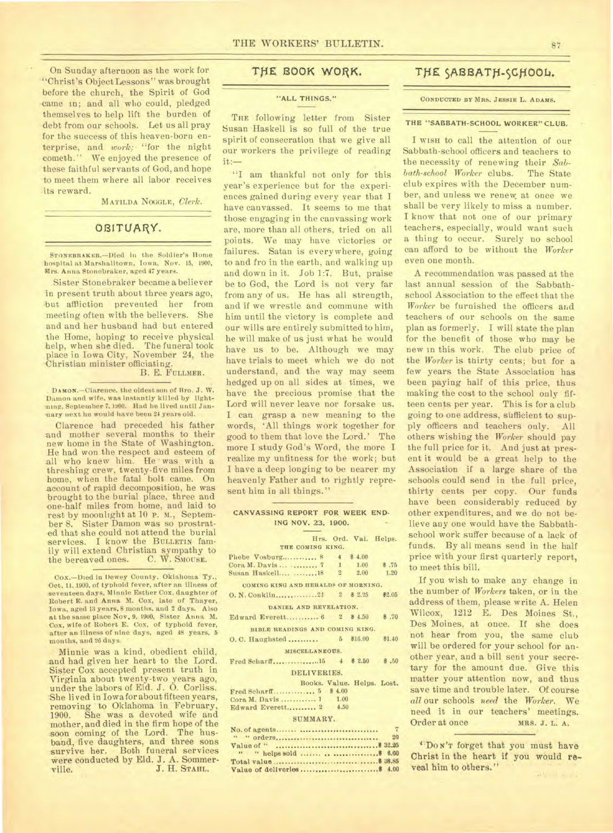On Sunday afternoon as the work for "Christ's Object Lessons" was brought before the church, the Spirit of God came in; and all who could, pledged themselves to help lift the burden of debt from our schools. Let us all pray for the success of this heaven-born enterprise, and *work;* "for the night cometh." We enjoyed the presence of these faithful servants of God, and hope to meet them where all labor receives its reward.

MATILDA NOODLE, *Clerk.* 

## OBITUARY.

STONEBRAKER.-Died in the Soldier's Home hospital at Marshalltown, Iowa, Nov. 15, 1900, Mrs. Anna Stonebraker, aged 47 years.

Sister Stonebraker became a believer in present truth about three years ago, -but affliction prevented her from meeting often with the believers. She and and her husband had but entered the Home, hoping to receive physical help, when she died. The funeral took place in Iowa City, November 24, the 'Christian minister officiating.

## B. E. FULLMER.

**DAMON.—Clarence,** the oldest son of Bro. J. W. Damon and wife, was Instantly killed by lightming, September 7. 1900. Had he lived until Janmary next he would have been 24 years old.

Clarence had preceded his father and mother several months to their new home in the State of Washington. He had won the respect and esteem of all who knew him. He was with a threshing crew, twenty-five miles from home, when the fatal bolt came. On account of rapid decomposition, he was brought to the burial place, three and one-half miles from home, and laid to rest by moonlight at 10 P. M., September 8. Sister Damon was so prostrat ed that she could not attend the burial services. I know the BULLETIN family will extend Christian sympathy to the bereaved ones. C. W. SMOUSE.

Minnie was a kind, obedient child, and had given her heart to the Lord. Sister Cox accepted present truth in Virginia about twenty-two years ago, under the labors of Eld. J. 0. Corliss. 'She lived in Iowa for about fifteen years, removing to Oklahoma in February, 1900. She was a devoted wife and mother, and died in the firm hope of the soon coming of the Lord. The husband, five daughters, and three sons survive her. Both funeral services were conducted by Eld. J. A. Sommerville. J. H. STAHL.

## THE BOOK WORK.

## "ALL THINGS."

THE following letter from Sister Susan Haskell is so full of the true spirit of consecration that we give all our workers the privilege of reading it:—

"I am thankful not only for this year's experience but for the experiences gained during every year that I have canvassed. It seems to me that those engaging in the canvassing work are, more than all others, tried on all points. We may have victories or failures. Satan is everywhere, going to and fro in the earth, and walking up and down in it. Job 1:7. But, praise be to God, the Lord is not very far from any of us. He has all strength, and if we wrestle and commune with him until the victory is complete and our wills are entirely submitted to him, he will make of us just what he would have us to be. Although we may have trials to meet which we do not understand, and the way may seem hedged up on all sides at times, we have the precious promise that the Lord will never leave nor forsake us. I can grasp a new meaning to the words, 'All things work together for good to them that love the Lord.' The more I study God's Word, the more I realize my unfitness for the work; but I have a deep longing to be nearer my heavenly Father and to rightly represent him in all things."

| CANVASSING REPORT FOR WEEK END-     |  |                       |             |  |  |
|-------------------------------------|--|-----------------------|-------------|--|--|
| ING NOV. 23, 1900.                  |  |                       |             |  |  |
|                                     |  | Hrs. Ord. Val. Helps. |             |  |  |
| THE COMING KING.                    |  |                       |             |  |  |
| Phebe Vosburg 8 4 8 4.00            |  |                       |             |  |  |
| Cora M. Davis   7 1 1.00            |  |                       | \$.75       |  |  |
| Susan Haskell 18 2 2.00             |  |                       | 1.20        |  |  |
| COMING KING AND HERALDS OF MORNING. |  |                       |             |  |  |
|                                     |  |                       | \$2.05      |  |  |
| DANIEL AND REVELATION.              |  |                       |             |  |  |
| Edward Everett 6 2 \$4.50           |  |                       | \$ .70      |  |  |
| BIBLE READINGS AND COMING KING.     |  |                       |             |  |  |
| O. C. Haughsted  5 \$16.00          |  |                       | \$1.40      |  |  |
| MISCELLANEOUS.                      |  |                       |             |  |  |
|                                     |  |                       |             |  |  |
| DELIVERIES.                         |  |                       |             |  |  |
| Books. Value. Helps. Lost.          |  |                       |             |  |  |
| Fred Scharff 5 \$ 4.00              |  |                       |             |  |  |
| Cora M. Davis  1 1.00               |  |                       |             |  |  |
| Edward Everett 2 4.50               |  |                       |             |  |  |
| SUMMARY.                            |  |                       |             |  |  |
|                                     |  |                       | $7^{\circ}$ |  |  |
|                                     |  |                       | 20          |  |  |

## **THE SABB4TH-SCH0014.**

#### **CONDUCTED BY MRS. JESSIE** L. **ADAMS.**

#### THE "SABBATH-SCHOOL WORKER" CLUB.

I WISH to call the attention of our Sabbath-school officers and teachers to the necessity of renewing their *Sabbath-school Worker* clubs. The State club expires with the December number, and unless we renew, at once we shall be very likely to miss a number. I know that not one of our primary teachers, especially, would want such a thing to occur. Surely no school can afford to be without the *Worker*  even one month.

A recommendation was passed at the last annual session of the Sabbathschool Association to the effect that the *Worker* be furnished the officers arid teachers of our schools on the same plan as formerly. I will state the plan for the benefit of those who may be new in this work. The club price of the *Worker* is thirty cents; but for a few years the State Association has been paying half of this price, thus making the cost to the school only fifteen cents per year. This is for a club going to one address, sufficient to supply officers and teachers only. All others wishing the *Worker* should pay the full price for it. And just at present it would be a great help to the Association if a large share of the schools could send in the full price, thirty cents per copy. Our funds have been considerably reduced by other expenditures, and we do not believe any one would have the Sabbathschool work suffer because of a lack of funds. By all means send in the half price with your first quarterly report, to meet this bill.

If you wish to make any change in the number of *Workers* taken, or in the address of them, please write A. Helen Wilcox, 1212 E. Des Moines St., Des Moines, at once. If she does not hear from you, the same club will be ordered for your school for another year, and a bill sent your secretary for the amount due. Give this matter your attention now, and thus save time and trouble later. Of course *all* our schools *need* the *Worker.* We need it in our teachers' meetings.<br>Orderatonce MRS. J. L. A. Order at once

''DO N'T forget that you must **have**  Christ in the heart if you would **reveal** him to others."

Cox.—Died in Dewey County, Oklahoma Ty., Oct. 11. 1900, of typhoid fever, after an illness of seventeen days, Minnie Esther Cox, daughter of Robert E. and Anna M. Cox, late of Thayer, Iowa, aged 13 years. 8 months. and 2 days. Also at the same place Nov. 9, 1900, Sister Anna M. Cox, wife of Robert E. Cox, of typhoid fever, after an illness of nine days, aged 48 years, 5 months, and 26 days.